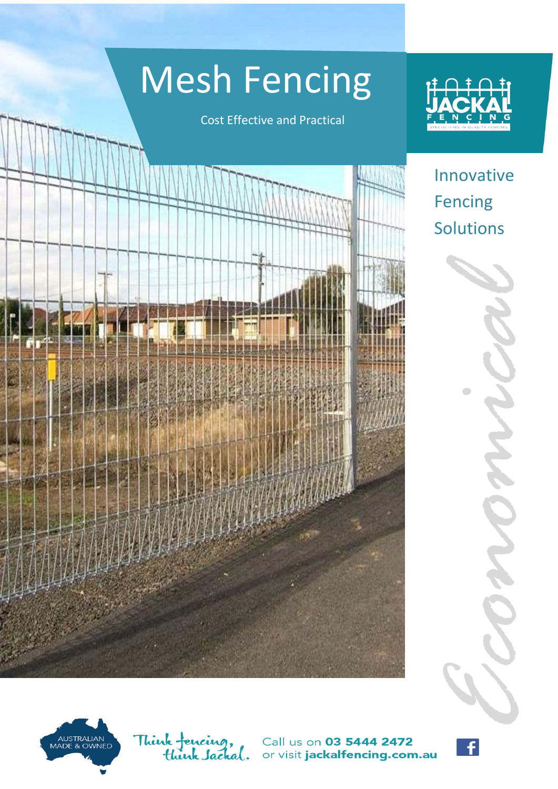# Mesh Fencing

Cost Effective and Practical



Innovative Fencing Solutions *Economical* 

AUSTRALIAN<br>MADE & OWNED

Think fencing,<br>think *Sac*kal. Call us on 03 5444 2472 or visit jackalfencing.com.au